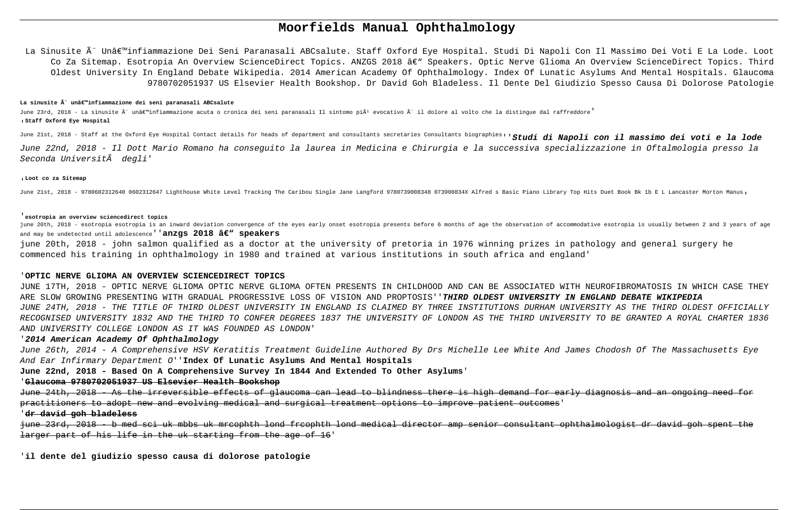# **Moorfields Manual Ophthalmology**

La Sinusite è Un'infiammazione Dei Seni Paranasali ABCsalute. Staff Oxford Eye Hospital. Studi Di Napoli Con Il Massimo Dei Voti E La Lode. Loot Co Za Sitemap. Esotropia An Overview ScienceDirect Topics. ANZGS 2018 â€" Speakers. Optic Nerve Glioma An Overview ScienceDirect Topics. Third Oldest University In England Debate Wikipedia. 2014 American Academy Of Ophthalmology. Index Of Lunatic Asylums And Mental Hospitals. Glaucoma 9780702051937 US Elsevier Health Bookshop. Dr David Goh Bladeless. Il Dente Del Giudizio Spesso Causa Di Dolorose Patologie

### La sinusite Â" unâ€<sup>m</sup>infiammazione dei seni paranasali ABCsalute

June 23rd, 2018 - La sinusite Ã" unâ∈ "infiammazione acuta o cronica dei seni paranasali Il sintomo piÃ<sup>1</sup> evocativo Ã" il dolore al volto che la distingue dal raffreddore<sup>'</sup> '**Staff Oxford Eye Hospital**

June 21st, 2018 - Staff at the Oxford Eye Hospital Contact details for heads of department and consultants secretaries Consultants biographies''**Studi di Napoli con il massimo dei voti e la lode**

June 22nd, 2018 - Il Dott Mario Romano ha conseguito la laurea in Medicina e Chirurgia e la successiva specializzazione in Oftalmologia presso la Seconda Università degli'

#### '**Loot co za Sitemap**

June 21st, 2018 - 9780602312640 0602312647 Lighthouse White Level Tracking The Caribou Single Jane Langford 9780739008348 073900834X Alfred s Basic Piano Library Top Hits Duet Book Bk 1b E L Lancaster Morton Manus,

#### '**esotropia an overview sciencedirect topics**

june 20th, 2018 - esotropia esotropia is an inward deviation convergence of the eyes early onset esotropia presents before 6 months of age the observation of accommodative esotropia is usually between 2 and 3 years of age and may be undetected until adolescence''**anzgs 2018 â** $\epsilon$ **<sup>w</sup> speakers** 

june 20th, 2018 - john salmon qualified as a doctor at the university of pretoria in 1976 winning prizes in pathology and general surgery he commenced his training in ophthalmology in 1980 and trained at various institutions in south africa and england'

#### '**OPTIC NERVE GLIOMA AN OVERVIEW SCIENCEDIRECT TOPICS**

JUNE 17TH, 2018 - OPTIC NERVE GLIOMA OPTIC NERVE GLIOMA OFTEN PRESENTS IN CHILDHOOD AND CAN BE ASSOCIATED WITH NEUROFIBROMATOSIS IN WHICH CASE THEY ARE SLOW GROWING PRESENTING WITH GRADUAL PROGRESSIVE LOSS OF VISION AND PROPTOSIS''**THIRD OLDEST UNIVERSITY IN ENGLAND DEBATE WIKIPEDIA** JUNE 24TH, 2018 - THE TITLE OF THIRD OLDEST UNIVERSITY IN ENGLAND IS CLAIMED BY THREE INSTITUTIONS DURHAM UNIVERSITY AS THE THIRD OLDEST OFFICIALLY RECOGNISED UNIVERSITY 1832 AND THE THIRD TO CONFER DEGREES 1837 THE UNIVERSITY OF LONDON AS THE THIRD UNIVERSITY TO BE GRANTED A ROYAL CHARTER 1836 AND UNIVERSITY COLLEGE LONDON AS IT WAS FOUNDED AS LONDON'

## '**2014 American Academy Of Ophthalmology**

June 26th, 2014 - A Comprehensive HSV Keratitis Treatment Guideline Authored By Drs Michelle Lee White And James Chodosh Of The Massachusetts Eye And Ear Infirmary Department O''**Index Of Lunatic Asylums And Mental Hospitals**

**June 22nd, 2018 - Based On A Comprehensive Survey In 1844 And Extended To Other Asylums**'

# '**Glaucoma 9780702051937 US Elsevier Health Bookshop**

June 24th, 2018 - As the irreversible effects of glaucoma can lead to blindness there is high demand for early diagnosis and an ongoing need for practitioners to adopt new and evolving medical and surgical treatment options to improve patient outcomes'

### '**dr david goh bladeless**

june 23rd, 2018 - b med sci uk mbbs uk mrcophth lond frcophth lond medical director amp senior consultant ophthalmologist dr david goh spent the larger part of his life in the uk starting from the age of 16'

'**il dente del giudizio spesso causa di dolorose patologie**